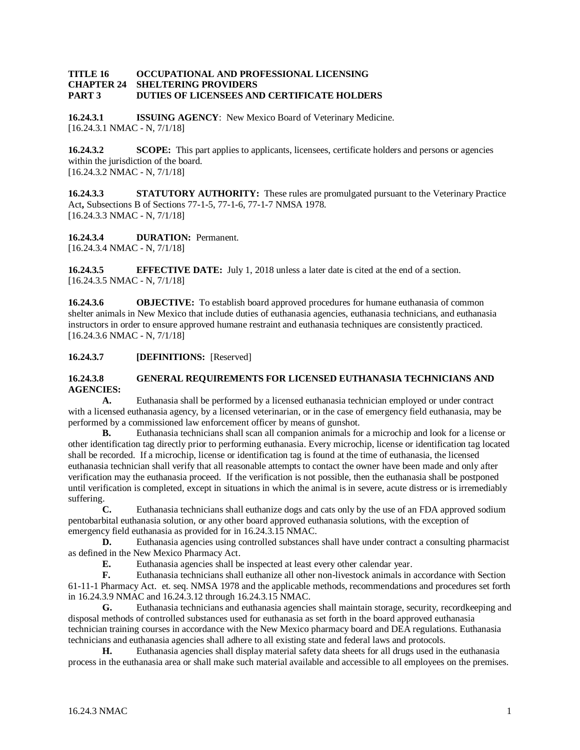#### **TITLE 16 OCCUPATIONAL AND PROFESSIONAL LICENSING CHAPTER 24 SHELTERING PROVIDERS PART 3 DUTIES OF LICENSEES AND CERTIFICATE HOLDERS**

**16.24.3.1 ISSUING AGENCY**: New Mexico Board of Veterinary Medicine. [16.24.3.1 NMAC - N, 7/1/18]

**16.24.3.2 SCOPE:** This part applies to applicants, licensees, certificate holders and persons or agencies within the jurisdiction of the board. [16.24.3.2 NMAC - N, 7/1/18]

**16.24.3.3 STATUTORY AUTHORITY:** These rules are promulgated pursuant to the Veterinary Practice Act**,** Subsections B of Sections 77-1-5, 77-1-6, 77-1-7 NMSA 1978. [16.24.3.3 NMAC - N, 7/1/18]

**16.24.3.4 DURATION:** Permanent. [16.24.3.4 NMAC - N, 7/1/18]

**16.24.3.5 EFFECTIVE DATE:** July 1, 2018 unless a later date is cited at the end of a section. [16.24.3.5 NMAC - N, 7/1/18]

**16.24.3.6 OBJECTIVE:** To establish board approved procedures for humane euthanasia of common shelter animals in New Mexico that include duties of euthanasia agencies, euthanasia technicians, and euthanasia instructors in order to ensure approved humane restraint and euthanasia techniques are consistently practiced. [16.24.3.6 NMAC - N, 7/1/18]

**16.24.3.7 [DEFINITIONS:** [Reserved]

### **16.24.3.8 GENERAL REQUIREMENTS FOR LICENSED EUTHANASIA TECHNICIANS AND AGENCIES:**

**A.** Euthanasia shall be performed by a licensed euthanasia technician employed or under contract with a licensed euthanasia agency, by a licensed veterinarian, or in the case of emergency field euthanasia, may be performed by a commissioned law enforcement officer by means of gunshot.

**B.** Euthanasia technicians shall scan all companion animals for a microchip and look for a license or other identification tag directly prior to performing euthanasia. Every microchip, license or identification tag located shall be recorded. If a microchip, license or identification tag is found at the time of euthanasia, the licensed euthanasia technician shall verify that all reasonable attempts to contact the owner have been made and only after verification may the euthanasia proceed. If the verification is not possible, then the euthanasia shall be postponed until verification is completed, except in situations in which the animal is in severe, acute distress or is irremediably suffering.

**C.** Euthanasia technicians shall euthanize dogs and cats only by the use of an FDA approved sodium pentobarbital euthanasia solution, or any other board approved euthanasia solutions, with the exception of emergency field euthanasia as provided for in 16.24.3.15 NMAC.

**D.** Euthanasia agencies using controlled substances shall have under contract a consulting pharmacist as defined in the New Mexico Pharmacy Act.

**E.** Euthanasia agencies shall be inspected at least every other calendar year.<br>**F.** Euthanasia technicians shall euthanize all other non-livestock animals in a

**F.** Euthanasia technicians shall euthanize all other non-livestock animals in accordance with Section 61-11-1 Pharmacy Act. et. seq. NMSA 1978 and the applicable methods, recommendations and procedures set forth in 16.24.3.9 NMAC and 16.24.3.12 through 16.24.3.15 NMAC.

**G.** Euthanasia technicians and euthanasia agencies shall maintain storage, security, recordkeeping and disposal methods of controlled substances used for euthanasia as set forth in the board approved euthanasia technician training courses in accordance with the New Mexico pharmacy board and DEA regulations. Euthanasia technicians and euthanasia agencies shall adhere to all existing state and federal laws and protocols.

**H.** Euthanasia agencies shall display material safety data sheets for all drugs used in the euthanasia process in the euthanasia area or shall make such material available and accessible to all employees on the premises.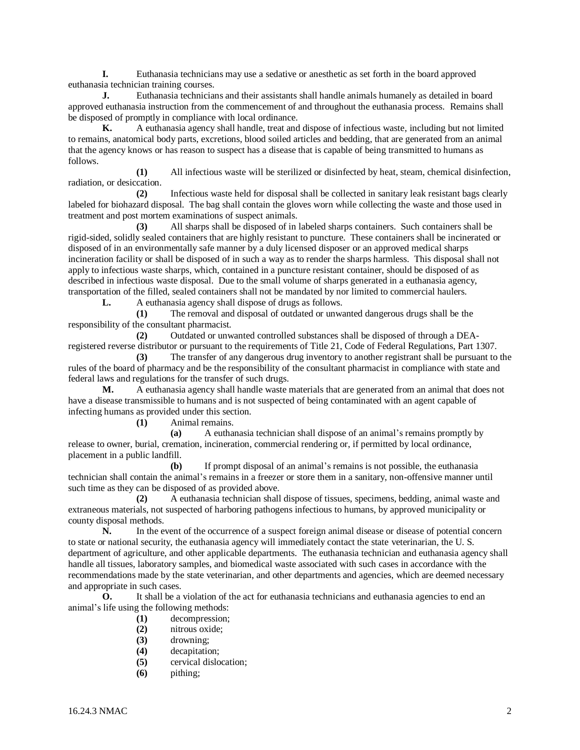**I.** Euthanasia technicians may use a sedative or anesthetic as set forth in the board approved euthanasia technician training courses.

**J.** Euthanasia technicians and their assistants shall handle animals humanely as detailed in board approved euthanasia instruction from the commencement of and throughout the euthanasia process. Remains shall be disposed of promptly in compliance with local ordinance.

**K.** A euthanasia agency shall handle, treat and dispose of infectious waste, including but not limited to remains, anatomical body parts, excretions, blood soiled articles and bedding, that are generated from an animal that the agency knows or has reason to suspect has a disease that is capable of being transmitted to humans as follows.

**(1)** All infectious waste will be sterilized or disinfected by heat, steam, chemical disinfection, radiation, or desiccation.

**(2)** Infectious waste held for disposal shall be collected in sanitary leak resistant bags clearly labeled for biohazard disposal. The bag shall contain the gloves worn while collecting the waste and those used in treatment and post mortem examinations of suspect animals.

**(3)** All sharps shall be disposed of in labeled sharps containers. Such containers shall be rigid-sided, solidly sealed containers that are highly resistant to puncture. These containers shall be incinerated or disposed of in an environmentally safe manner by a duly licensed disposer or an approved medical sharps incineration facility or shall be disposed of in such a way as to render the sharps harmless. This disposal shall not apply to infectious waste sharps, which, contained in a puncture resistant container, should be disposed of as described in infectious waste disposal. Due to the small volume of sharps generated in a euthanasia agency, transportation of the filled, sealed containers shall not be mandated by nor limited to commercial haulers.

**L.** A euthanasia agency shall dispose of drugs as follows.

**(1)** The removal and disposal of outdated or unwanted dangerous drugs shall be the responsibility of the consultant pharmacist.

**(2)** Outdated or unwanted controlled substances shall be disposed of through a DEAregistered reverse distributor or pursuant to the requirements of Title 21, Code of Federal Regulations, Part 1307.

**(3)** The transfer of any dangerous drug inventory to another registrant shall be pursuant to the rules of the board of pharmacy and be the responsibility of the consultant pharmacist in compliance with state and federal laws and regulations for the transfer of such drugs.

**M.** A euthanasia agency shall handle waste materials that are generated from an animal that does not have a disease transmissible to humans and is not suspected of being contaminated with an agent capable of infecting humans as provided under this section.

**(1)** Animal remains.

**(a)** A euthanasia technician shall dispose of an animal's remains promptly by release to owner, burial, cremation, incineration, commercial rendering or, if permitted by local ordinance, placement in a public landfill.

**(b)** If prompt disposal of an animal's remains is not possible, the euthanasia technician shall contain the animal's remains in a freezer or store them in a sanitary, non-offensive manner until such time as they can be disposed of as provided above.

**(2)** A euthanasia technician shall dispose of tissues, specimens, bedding, animal waste and extraneous materials, not suspected of harboring pathogens infectious to humans, by approved municipality or county disposal methods.

**N.** In the event of the occurrence of a suspect foreign animal disease or disease of potential concern to state or national security, the euthanasia agency will immediately contact the state veterinarian, the U. S. department of agriculture, and other applicable departments. The euthanasia technician and euthanasia agency shall handle all tissues, laboratory samples, and biomedical waste associated with such cases in accordance with the recommendations made by the state veterinarian, and other departments and agencies, which are deemed necessary and appropriate in such cases.

**O.** It shall be a violation of the act for euthanasia technicians and euthanasia agencies to end an animal's life using the following methods:

- **(1)** decompression;
- **(2)** nitrous oxide;
- **(3)** drowning;
- **(4)** decapitation;
- **(5)** cervical dislocation;
- **(6)** pithing;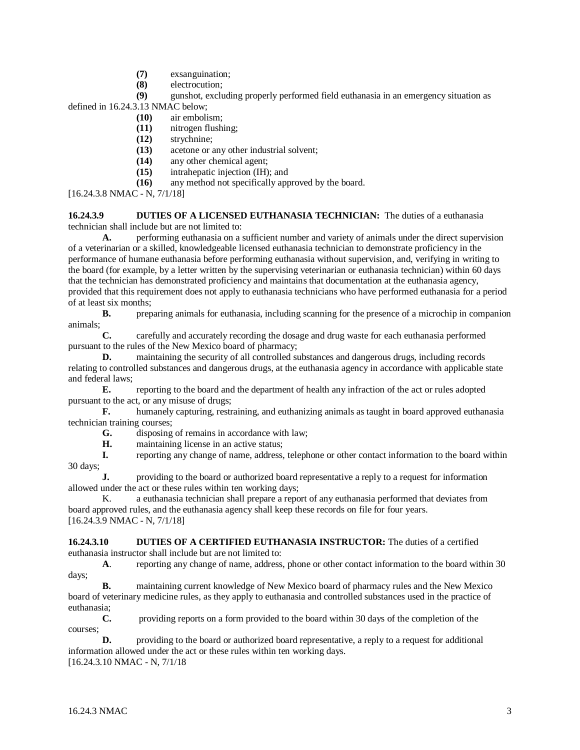- **(7)** exsanguination;
- **(8)** electrocution;

**(9)** gunshot, excluding properly performed field euthanasia in an emergency situation as

defined in 16.24.3.13 NMAC below;

- **(10)** air embolism;
- **(11)** nitrogen flushing;
- **(12)** strychnine;
- **(13)** acetone or any other industrial solvent;
- **(14)** any other chemical agent;
- **(15)** intrahepatic injection (IH); and
- **(16)** any method not specifically approved by the board.

[16.24.3.8 NMAC - N, 7/1/18]

**16.24.3.9 DUTIES OF A LICENSED EUTHANASIA TECHNICIAN:** The duties of a euthanasia technician shall include but are not limited to:

**A.** performing euthanasia on a sufficient number and variety of animals under the direct supervision of a veterinarian or a skilled, knowledgeable licensed euthanasia technician to demonstrate proficiency in the performance of humane euthanasia before performing euthanasia without supervision, and, verifying in writing to the board (for example, by a letter written by the supervising veterinarian or euthanasia technician) within 60 days that the technician has demonstrated proficiency and maintains that documentation at the euthanasia agency, provided that this requirement does not apply to euthanasia technicians who have performed euthanasia for a period of at least six months;

**B.** preparing animals for euthanasia, including scanning for the presence of a microchip in companion animals;

**C.** carefully and accurately recording the dosage and drug waste for each euthanasia performed pursuant to the rules of the New Mexico board of pharmacy;

**D.** maintaining the security of all controlled substances and dangerous drugs, including records relating to controlled substances and dangerous drugs, at the euthanasia agency in accordance with applicable state and federal laws;

**E.** reporting to the board and the department of health any infraction of the act or rules adopted pursuant to the act, or any misuse of drugs;

**F.** humanely capturing, restraining, and euthanizing animals as taught in board approved euthanasia technician training courses;

- **G.** disposing of remains in accordance with law;
- **H.** maintaining license in an active status;

**I.** reporting any change of name, address, telephone or other contact information to the board within 30 days;

**J.** providing to the board or authorized board representative a reply to a request for information allowed under the act or these rules within ten working days;

K. a euthanasia technician shall prepare a report of any euthanasia performed that deviates from board approved rules, and the euthanasia agency shall keep these records on file for four years. [16.24.3.9 NMAC - N, 7/1/18]

**16.24.3.10 DUTIES OF A CERTIFIED EUTHANASIA INSTRUCTOR:** The duties of a certified euthanasia instructor shall include but are not limited to:

**A**. reporting any change of name, address, phone or other contact information to the board within 30 days;

**B.** maintaining current knowledge of New Mexico board of pharmacy rules and the New Mexico board of veterinary medicine rules, as they apply to euthanasia and controlled substances used in the practice of euthanasia;

**C.** providing reports on a form provided to the board within 30 days of the completion of the courses;

**D.** providing to the board or authorized board representative, a reply to a request for additional information allowed under the act or these rules within ten working days. [16.24.3.10 NMAC - N, 7/1/18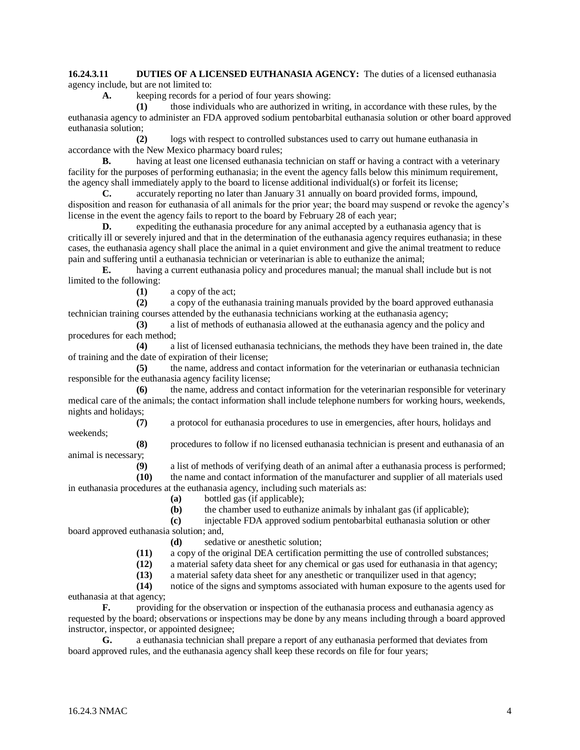**16.24.3.11 DUTIES OF A LICENSED EUTHANASIA AGENCY:** The duties of a licensed euthanasia agency include, but are not limited to:

**A.** keeping records for a period of four years showing:

**(1)** those individuals who are authorized in writing, in accordance with these rules, by the euthanasia agency to administer an FDA approved sodium pentobarbital euthanasia solution or other board approved euthanasia solution;

**(2)** logs with respect to controlled substances used to carry out humane euthanasia in accordance with the New Mexico pharmacy board rules;

**B.** having at least one licensed euthanasia technician on staff or having a contract with a veterinary facility for the purposes of performing euthanasia; in the event the agency falls below this minimum requirement, the agency shall immediately apply to the board to license additional individual(s) or forfeit its license;

**C.** accurately reporting no later than January 31 annually on board provided forms, impound, disposition and reason for euthanasia of all animals for the prior year; the board may suspend or revoke the agency's license in the event the agency fails to report to the board by February 28 of each year;

**D.** expediting the euthanasia procedure for any animal accepted by a euthanasia agency that is critically ill or severely injured and that in the determination of the euthanasia agency requires euthanasia; in these cases, the euthanasia agency shall place the animal in a quiet environment and give the animal treatment to reduce pain and suffering until a euthanasia technician or veterinarian is able to euthanize the animal;

**E.** having a current euthanasia policy and procedures manual; the manual shall include but is not limited to the following:

**(1)** a copy of the act;

**(2)** a copy of the euthanasia training manuals provided by the board approved euthanasia technician training courses attended by the euthanasia technicians working at the euthanasia agency;

**(3)** a list of methods of euthanasia allowed at the euthanasia agency and the policy and procedures for each method;

**(4)** a list of licensed euthanasia technicians, the methods they have been trained in, the date of training and the date of expiration of their license;

**(5)** the name, address and contact information for the veterinarian or euthanasia technician responsible for the euthanasia agency facility license;

**(6)** the name, address and contact information for the veterinarian responsible for veterinary medical care of the animals; the contact information shall include telephone numbers for working hours, weekends, nights and holidays;

**(7)** a protocol for euthanasia procedures to use in emergencies, after hours, holidays and

weekends;

**(8)** procedures to follow if no licensed euthanasia technician is present and euthanasia of an animal is necessary;

**(9)** a list of methods of verifying death of an animal after a euthanasia process is performed; **(10)** the name and contact information of the manufacturer and supplier of all materials used

in euthanasia procedures at the euthanasia agency, including such materials as:

**(a)** bottled gas (if applicable);

**(b)** the chamber used to euthanize animals by inhalant gas (if applicable);

**(c)** injectable FDA approved sodium pentobarbital euthanasia solution or other

board approved euthanasia solution; and,

**(d)** sedative or anesthetic solution;

**(11)** a copy of the original DEA certification permitting the use of controlled substances;

**(12)** a material safety data sheet for any chemical or gas used for euthanasia in that agency;

**(13)** a material safety data sheet for any anesthetic or tranquilizer used in that agency;

**(14)** notice of the signs and symptoms associated with human exposure to the agents used for euthanasia at that agency;

**F.** providing for the observation or inspection of the euthanasia process and euthanasia agency as requested by the board; observations or inspections may be done by any means including through a board approved instructor, inspector, or appointed designee;

**G.** a euthanasia technician shall prepare a report of any euthanasia performed that deviates from board approved rules, and the euthanasia agency shall keep these records on file for four years;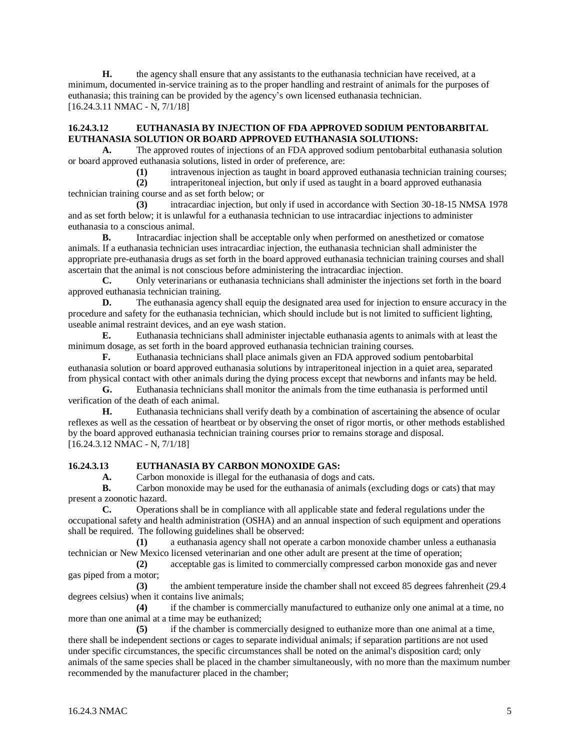**H.** the agency shall ensure that any assistants to the euthanasia technician have received, at a minimum, documented in-service training as to the proper handling and restraint of animals for the purposes of euthanasia; this training can be provided by the agency's own licensed euthanasia technician. [16.24.3.11 NMAC - N, 7/1/18]

#### **16.24.3.12 EUTHANASIA BY INJECTION OF FDA APPROVED SODIUM PENTOBARBITAL EUTHANASIA SOLUTION OR BOARD APPROVED EUTHANASIA SOLUTIONS:**

**A.** The approved routes of injections of an FDA approved sodium pentobarbital euthanasia solution or board approved euthanasia solutions, listed in order of preference, are:

**(1)** intravenous injection as taught in board approved euthanasia technician training courses;

**(2)** intraperitoneal injection, but only if used as taught in a board approved euthanasia technician training course and as set forth below; or

**(3)** intracardiac injection, but only if used in accordance with Section 30-18-15 NMSA 1978 and as set forth below; it is unlawful for a euthanasia technician to use intracardiac injections to administer euthanasia to a conscious animal.

**B.** Intracardiac injection shall be acceptable only when performed on anesthetized or comatose animals. If a euthanasia technician uses intracardiac injection, the euthanasia technician shall administer the appropriate pre-euthanasia drugs as set forth in the board approved euthanasia technician training courses and shall ascertain that the animal is not conscious before administering the intracardiac injection.

**C.** Only veterinarians or euthanasia technicians shall administer the injections set forth in the board approved euthanasia technician training.

**D.** The euthanasia agency shall equip the designated area used for injection to ensure accuracy in the procedure and safety for the euthanasia technician, which should include but is not limited to sufficient lighting, useable animal restraint devices, and an eye wash station.

**E.** Euthanasia technicians shall administer injectable euthanasia agents to animals with at least the minimum dosage, as set forth in the board approved euthanasia technician training courses.

**F.** Euthanasia technicians shall place animals given an FDA approved sodium pentobarbital euthanasia solution or board approved euthanasia solutions by intraperitoneal injection in a quiet area, separated from physical contact with other animals during the dying process except that newborns and infants may be held.

**G.** Euthanasia technicians shall monitor the animals from the time euthanasia is performed until verification of the death of each animal.

**H.** Euthanasia technicians shall verify death by a combination of ascertaining the absence of ocular reflexes as well as the cessation of heartbeat or by observing the onset of rigor mortis, or other methods established by the board approved euthanasia technician training courses prior to remains storage and disposal. [16.24.3.12 NMAC - N, 7/1/18]

## **16.24.3.13 EUTHANASIA BY CARBON MONOXIDE GAS:**

**A.** Carbon monoxide is illegal for the euthanasia of dogs and cats.

**B.** Carbon monoxide may be used for the euthanasia of animals (excluding dogs or cats) that may present a zoonotic hazard.

**C.** Operations shall be in compliance with all applicable state and federal regulations under the occupational safety and health administration (OSHA) and an annual inspection of such equipment and operations shall be required. The following guidelines shall be observed:

**(1)** a euthanasia agency shall not operate a carbon monoxide chamber unless a euthanasia technician or New Mexico licensed veterinarian and one other adult are present at the time of operation;

**(2)** acceptable gas is limited to commercially compressed carbon monoxide gas and never gas piped from a motor;

**(3)** the ambient temperature inside the chamber shall not exceed 85 degrees fahrenheit (29.4 degrees celsius) when it contains live animals;

**(4)** if the chamber is commercially manufactured to euthanize only one animal at a time, no more than one animal at a time may be euthanized;

**(5)** if the chamber is commercially designed to euthanize more than one animal at a time, there shall be independent sections or cages to separate individual animals; if separation partitions are not used under specific circumstances, the specific circumstances shall be noted on the animal's disposition card; only animals of the same species shall be placed in the chamber simultaneously, with no more than the maximum number recommended by the manufacturer placed in the chamber;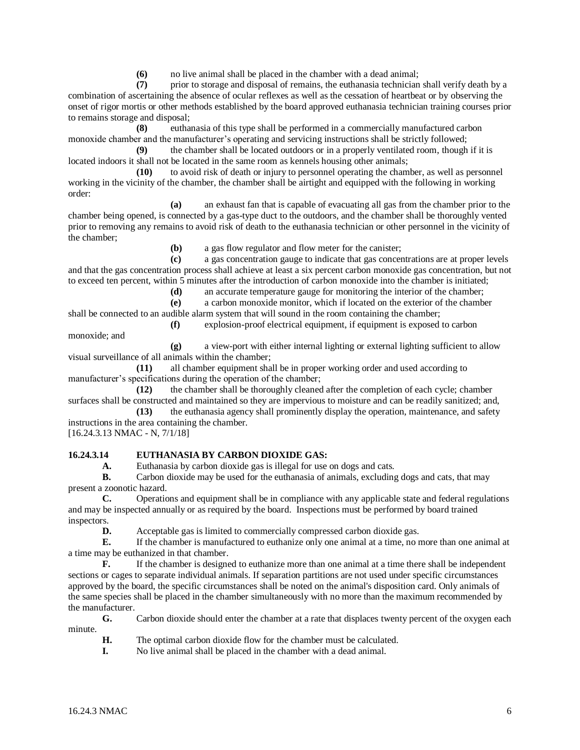**(6)** no live animal shall be placed in the chamber with a dead animal;

**(7)** prior to storage and disposal of remains, the euthanasia technician shall verify death by a combination of ascertaining the absence of ocular reflexes as well as the cessation of heartbeat or by observing the onset of rigor mortis or other methods established by the board approved euthanasia technician training courses prior to remains storage and disposal;

**(8)** euthanasia of this type shall be performed in a commercially manufactured carbon monoxide chamber and the manufacturer's operating and servicing instructions shall be strictly followed;

**(9)** the chamber shall be located outdoors or in a properly ventilated room, though if it is located indoors it shall not be located in the same room as kennels housing other animals;

**(10)** to avoid risk of death or injury to personnel operating the chamber, as well as personnel working in the vicinity of the chamber, the chamber shall be airtight and equipped with the following in working order:

**(a)** an exhaust fan that is capable of evacuating all gas from the chamber prior to the chamber being opened, is connected by a gas-type duct to the outdoors, and the chamber shall be thoroughly vented prior to removing any remains to avoid risk of death to the euthanasia technician or other personnel in the vicinity of the chamber;

**(b)** a gas flow regulator and flow meter for the canister;

**(c)** a gas concentration gauge to indicate that gas concentrations are at proper levels and that the gas concentration process shall achieve at least a six percent carbon monoxide gas concentration, but not to exceed ten percent, within 5 minutes after the introduction of carbon monoxide into the chamber is initiated;

**(d)** an accurate temperature gauge for monitoring the interior of the chamber;

**(e)** a carbon monoxide monitor, which if located on the exterior of the chamber

shall be connected to an audible alarm system that will sound in the room containing the chamber;

**(f)** explosion-proof electrical equipment, if equipment is exposed to carbon monoxide; and

**(g)** a view-port with either internal lighting or external lighting sufficient to allow visual surveillance of all animals within the chamber;

**(11)** all chamber equipment shall be in proper working order and used according to manufacturer's specifications during the operation of the chamber;

**(12)** the chamber shall be thoroughly cleaned after the completion of each cycle; chamber surfaces shall be constructed and maintained so they are impervious to moisture and can be readily sanitized; and,

**(13)** the euthanasia agency shall prominently display the operation, maintenance, and safety instructions in the area containing the chamber.

[16.24.3.13 NMAC - N, 7/1/18]

## **16.24.3.14 EUTHANASIA BY CARBON DIOXIDE GAS:**

**A.** Euthanasia by carbon dioxide gas is illegal for use on dogs and cats.

**B.** Carbon dioxide may be used for the euthanasia of animals, excluding dogs and cats, that may present a zoonotic hazard.

**C.** Operations and equipment shall be in compliance with any applicable state and federal regulations and may be inspected annually or as required by the board. Inspections must be performed by board trained inspectors.

**D.** Acceptable gas is limited to commercially compressed carbon dioxide gas.

**E.** If the chamber is manufactured to euthanize only one animal at a time, no more than one animal at a time may be euthanized in that chamber.

**F.** If the chamber is designed to euthanize more than one animal at a time there shall be independent sections or cages to separate individual animals. If separation partitions are not used under specific circumstances approved by the board, the specific circumstances shall be noted on the animal's disposition card. Only animals of the same species shall be placed in the chamber simultaneously with no more than the maximum recommended by the manufacturer.

**G.** Carbon dioxide should enter the chamber at a rate that displaces twenty percent of the oxygen each minute.

- **H.** The optimal carbon dioxide flow for the chamber must be calculated.
- **I.** No live animal shall be placed in the chamber with a dead animal.